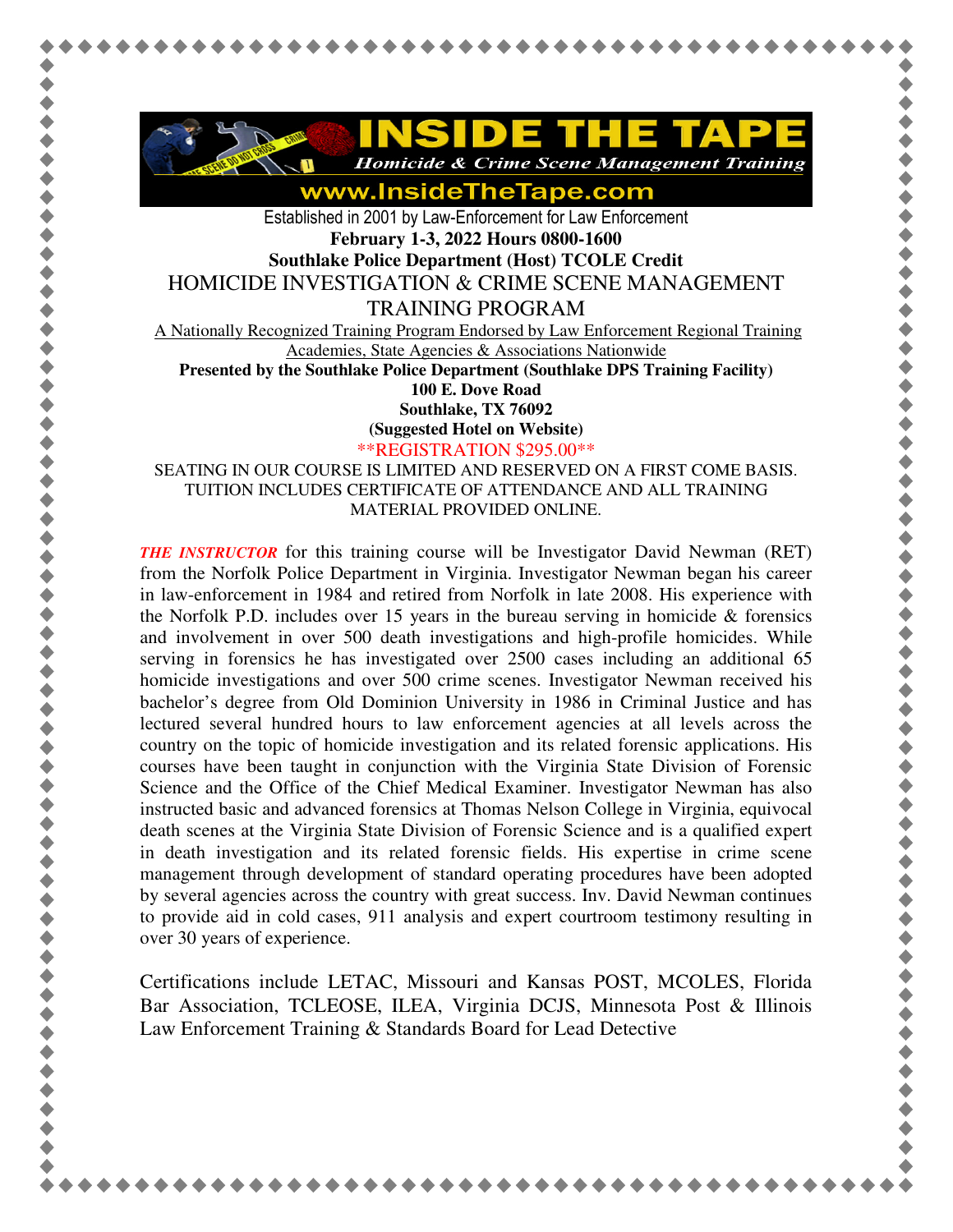

www.InsideTheTape.com

Established in 2001 by Law-Enforcement for Law Enforcement **February 1-3, 2022 Hours 0800-1600 Southlake Police Department (Host) TCOLE Credit**  HOMICIDE INVESTIGATION & CRIME SCENE MANAGEMENT TRAINING PROGRAM

A Nationally Recognized Training Program Endorsed by Law Enforcement Regional Training Academies, State Agencies & Associations Nationwide

**Presented by the Southlake Police Department (Southlake DPS Training Facility)** 

**100 E. Dove Road** 

**Southlake, TX 76092** 

**(Suggested Hotel on Website)**

\*\*REGISTRATION \$295.00\*\*

SEATING IN OUR COURSE IS LIMITED AND RESERVED ON A FIRST COME BASIS. TUITION INCLUDES CERTIFICATE OF ATTENDANCE AND ALL TRAINING MATERIAL PROVIDED ONLINE.

*THE INSTRUCTOR* for this training course will be Investigator David Newman (RET) from the Norfolk Police Department in Virginia. Investigator Newman began his career in law-enforcement in 1984 and retired from Norfolk in late 2008. His experience with the Norfolk P.D. includes over 15 years in the bureau serving in homicide  $\&$  forensics and involvement in over 500 death investigations and high-profile homicides. While serving in forensics he has investigated over 2500 cases including an additional 65 homicide investigations and over 500 crime scenes. Investigator Newman received his bachelor's degree from Old Dominion University in 1986 in Criminal Justice and has lectured several hundred hours to law enforcement agencies at all levels across the country on the topic of homicide investigation and its related forensic applications. His courses have been taught in conjunction with the Virginia State Division of Forensic Science and the Office of the Chief Medical Examiner. Investigator Newman has also instructed basic and advanced forensics at Thomas Nelson College in Virginia, equivocal death scenes at the Virginia State Division of Forensic Science and is a qualified expert in death investigation and its related forensic fields. His expertise in crime scene management through development of standard operating procedures have been adopted by several agencies across the country with great success. Inv. David Newman continues to provide aid in cold cases, 911 analysis and expert courtroom testimony resulting in over 30 years of experience.

Certifications include LETAC, Missouri and Kansas POST, MCOLES, Florida Bar Association, TCLEOSE, ILEA, Virginia DCJS, Minnesota Post & Illinois Law Enforcement Training & Standards Board for Lead Detective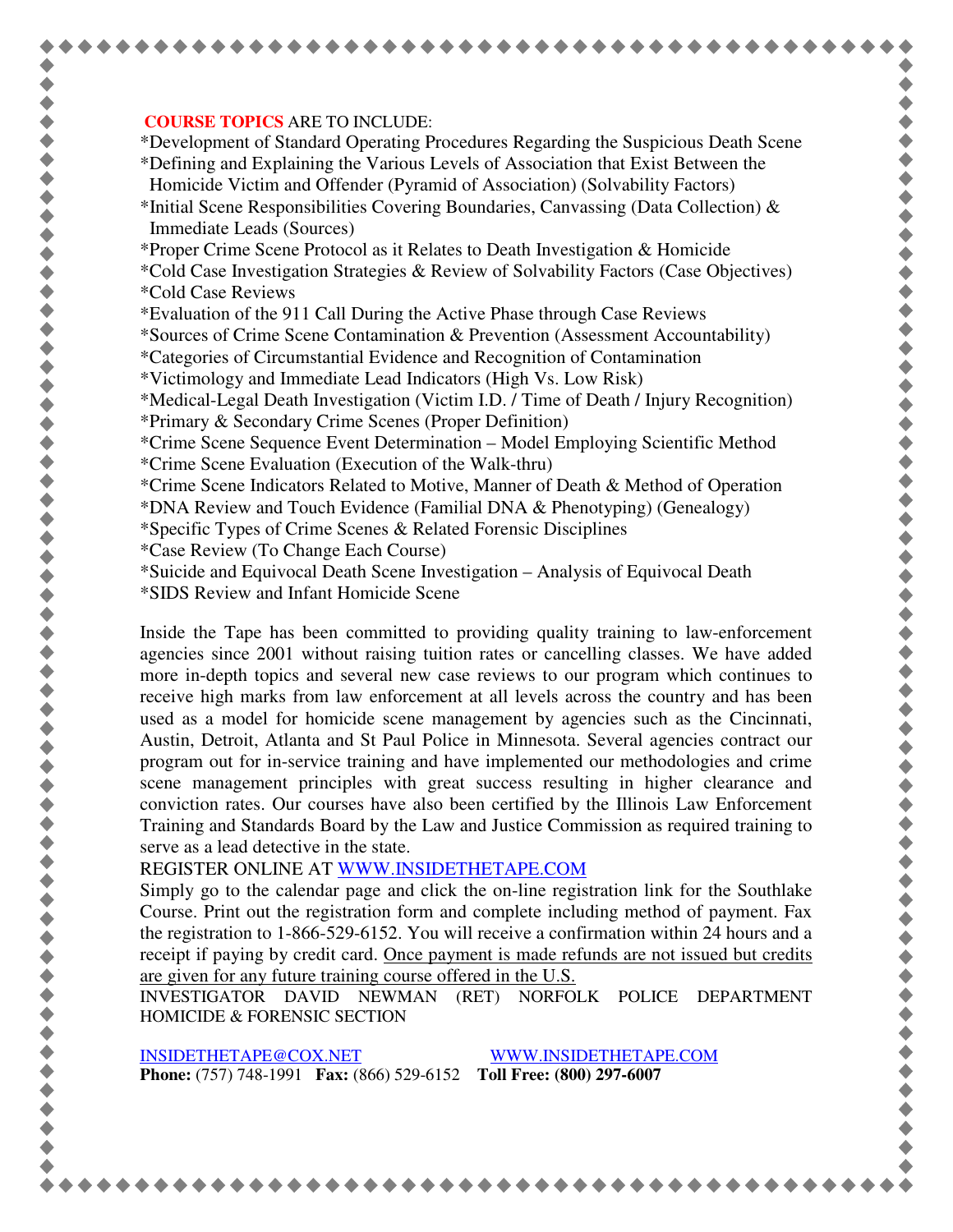## **COURSE TOPICS** ARE TO INCLUDE:

\*Development of Standard Operating Procedures Regarding the Suspicious Death Scene \*Defining and Explaining the Various Levels of Association that Exist Between the Homicide Victim and Offender (Pyramid of Association) (Solvability Factors)

- \*Initial Scene Responsibilities Covering Boundaries, Canvassing (Data Collection)  $\&$ Immediate Leads (Sources)
- \*Proper Crime Scene Protocol as it Relates to Death Investigation & Homicide
- \*Cold Case Investigation Strategies & Review of Solvability Factors (Case Objectives) \*Cold Case Reviews
- \*Evaluation of the 911 Call During the Active Phase through Case Reviews

\*Sources of Crime Scene Contamination & Prevention (Assessment Accountability)

- \*Categories of Circumstantial Evidence and Recognition of Contamination
- \*Victimology and Immediate Lead Indicators (High Vs. Low Risk)

\*Medical-Legal Death Investigation (Victim I.D. / Time of Death / Injury Recognition)

- \*Primary & Secondary Crime Scenes (Proper Definition)
- \*Crime Scene Sequence Event Determination Model Employing Scientific Method \*Crime Scene Evaluation (Execution of the Walk-thru)
- \*Crime Scene Indicators Related to Motive, Manner of Death & Method of Operation
- \*DNA Review and Touch Evidence (Familial DNA & Phenotyping) (Genealogy)
- \*Specific Types of Crime Scenes & Related Forensic Disciplines
- \*Case Review (To Change Each Course)
- \*Suicide and Equivocal Death Scene Investigation Analysis of Equivocal Death
- \*SIDS Review and Infant Homicide Scene

Inside the Tape has been committed to providing quality training to law-enforcement agencies since 2001 without raising tuition rates or cancelling classes. We have added more in-depth topics and several new case reviews to our program which continues to receive high marks from law enforcement at all levels across the country and has been used as a model for homicide scene management by agencies such as the Cincinnati, Austin, Detroit, Atlanta and St Paul Police in Minnesota. Several agencies contract our program out for in-service training and have implemented our methodologies and crime scene management principles with great success resulting in higher clearance and conviction rates. Our courses have also been certified by the Illinois Law Enforcement Training and Standards Board by the Law and Justice Commission as required training to serve as a lead detective in the state.

REGISTER ONLINE AT WWW.INSIDETHETAPE.COM

Simply go to the calendar page and click the on-line registration link for the Southlake Course. Print out the registration form and complete including method of payment. Fax the registration to 1-866-529-6152. You will receive a confirmation within 24 hours and a receipt if paying by credit card. Once payment is made refunds are not issued but credits are given for any future training course offered in the U.S.

INVESTIGATOR DAVID NEWMAN (RET) NORFOLK POLICE DEPARTMENT HOMICIDE & FORENSIC SECTION

INSIDETHETAPE@COX.NET WWW.INSIDETHETAPE.COM **Phone:** (757) 748-1991 **Fax:** (866) 529-6152 **Toll Free: (800) 297-6007**